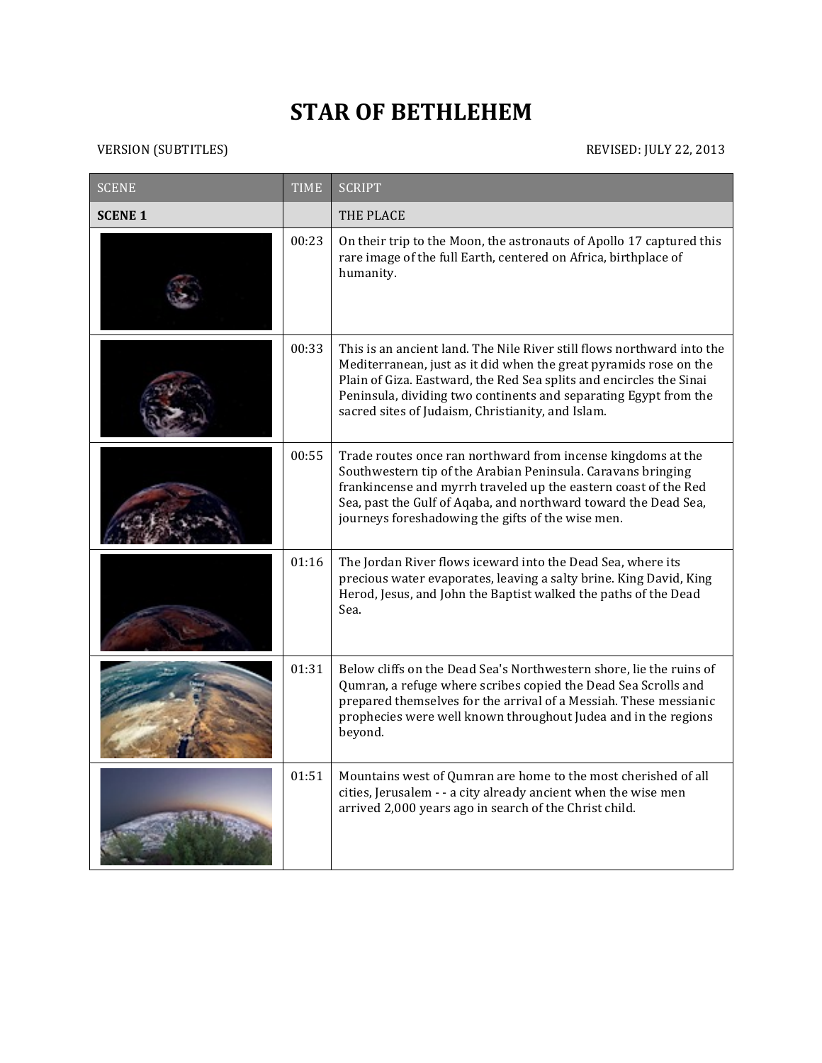## **STAR OF BETHLEHEM**

## VERSION (SUBTITLES) REVISED: JULY 22, 2013

| <b>SCENE</b>   | <b>TIME</b> | <b>SCRIPT</b>                                                                                                                                                                                                                                                                                                                               |
|----------------|-------------|---------------------------------------------------------------------------------------------------------------------------------------------------------------------------------------------------------------------------------------------------------------------------------------------------------------------------------------------|
| <b>SCENE 1</b> |             | THE PLACE                                                                                                                                                                                                                                                                                                                                   |
|                | 00:23       | On their trip to the Moon, the astronauts of Apollo 17 captured this<br>rare image of the full Earth, centered on Africa, birthplace of<br>humanity.                                                                                                                                                                                        |
|                | 00:33       | This is an ancient land. The Nile River still flows northward into the<br>Mediterranean, just as it did when the great pyramids rose on the<br>Plain of Giza. Eastward, the Red Sea splits and encircles the Sinai<br>Peninsula, dividing two continents and separating Egypt from the<br>sacred sites of Judaism, Christianity, and Islam. |
|                | 00:55       | Trade routes once ran northward from incense kingdoms at the<br>Southwestern tip of the Arabian Peninsula. Caravans bringing<br>frankincense and myrrh traveled up the eastern coast of the Red<br>Sea, past the Gulf of Aqaba, and northward toward the Dead Sea,<br>journeys foreshadowing the gifts of the wise men.                     |
|                | 01:16       | The Jordan River flows iceward into the Dead Sea, where its<br>precious water evaporates, leaving a salty brine. King David, King<br>Herod, Jesus, and John the Baptist walked the paths of the Dead<br>Sea.                                                                                                                                |
|                | 01:31       | Below cliffs on the Dead Sea's Northwestern shore, lie the ruins of<br>Qumran, a refuge where scribes copied the Dead Sea Scrolls and<br>prepared themselves for the arrival of a Messiah. These messianic<br>prophecies were well known throughout Judea and in the regions<br>beyond.                                                     |
|                | 01:51       | Mountains west of Qumran are home to the most cherished of all<br>cities, Jerusalem - - a city already ancient when the wise men<br>arrived 2,000 years ago in search of the Christ child.                                                                                                                                                  |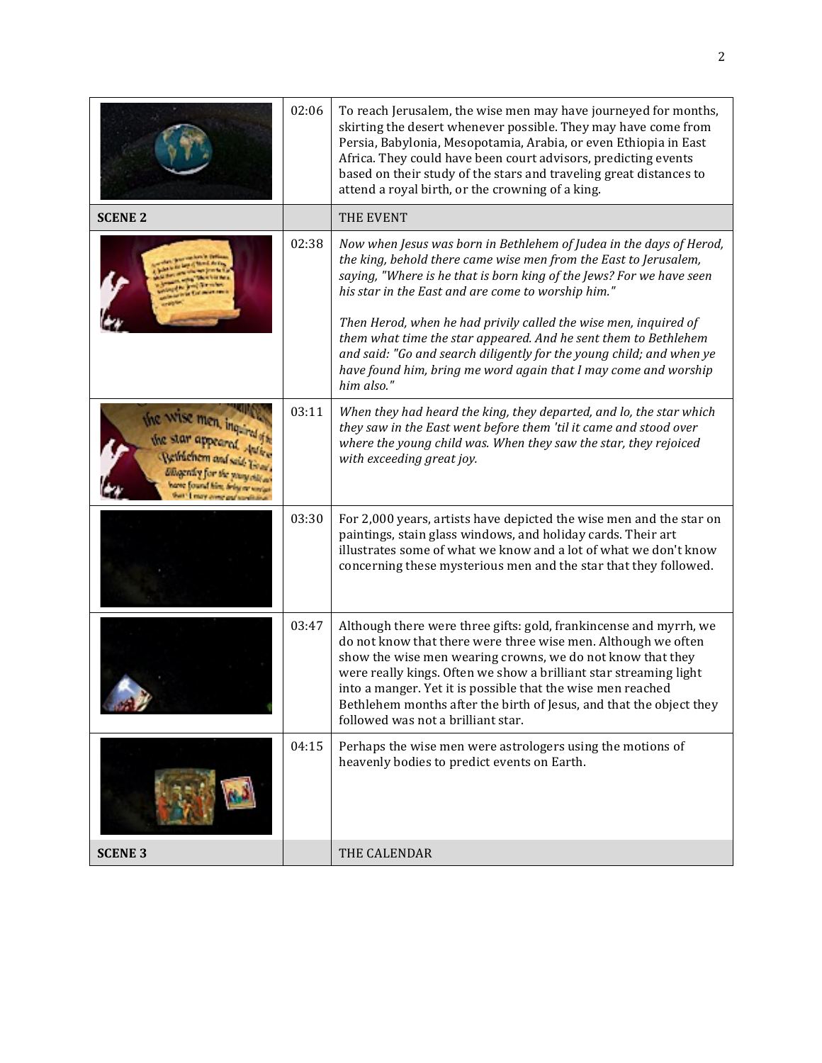|                                                             | 02:06 | To reach Jerusalem, the wise men may have journeyed for months,<br>skirting the desert whenever possible. They may have come from<br>Persia, Babylonia, Mesopotamia, Arabia, or even Ethiopia in East<br>Africa. They could have been court advisors, predicting events<br>based on their study of the stars and traveling great distances to<br>attend a royal birth, or the crowning of a king.                                                                                                                                                                     |
|-------------------------------------------------------------|-------|-----------------------------------------------------------------------------------------------------------------------------------------------------------------------------------------------------------------------------------------------------------------------------------------------------------------------------------------------------------------------------------------------------------------------------------------------------------------------------------------------------------------------------------------------------------------------|
| <b>SCENE 2</b>                                              |       | THE EVENT                                                                                                                                                                                                                                                                                                                                                                                                                                                                                                                                                             |
|                                                             | 02:38 | Now when Jesus was born in Bethlehem of Judea in the days of Herod,<br>the king, behold there came wise men from the East to Jerusalem,<br>saying, "Where is he that is born king of the Jews? For we have seen<br>his star in the East and are come to worship him."<br>Then Herod, when he had privily called the wise men, inquired of<br>them what time the star appeared. And he sent them to Bethlehem<br>and said: "Go and search diligently for the young child; and when ye<br>have found him, bring me word again that I may come and worship<br>him also." |
| the Wise men, in<br>the star appear<br><b>Defrichem</b> and | 03:11 | When they had heard the king, they departed, and lo, the star which<br>they saw in the East went before them 'til it came and stood over<br>where the young child was. When they saw the star, they rejoiced<br>with exceeding great joy.                                                                                                                                                                                                                                                                                                                             |
|                                                             | 03:30 | For 2,000 years, artists have depicted the wise men and the star on<br>paintings, stain glass windows, and holiday cards. Their art<br>illustrates some of what we know and a lot of what we don't know<br>concerning these mysterious men and the star that they followed.                                                                                                                                                                                                                                                                                           |
|                                                             | 03:47 | Although there were three gifts: gold, frankincense and myrrh, we<br>do not know that there were three wise men. Although we often<br>show the wise men wearing crowns, we do not know that they<br>were really kings. Often we show a brilliant star streaming light<br>into a manger. Yet it is possible that the wise men reached<br>Bethlehem months after the birth of Jesus, and that the object they<br>followed was not a brilliant star.                                                                                                                     |
|                                                             | 04:15 | Perhaps the wise men were astrologers using the motions of<br>heavenly bodies to predict events on Earth.                                                                                                                                                                                                                                                                                                                                                                                                                                                             |
| <b>SCENE 3</b>                                              |       | THE CALENDAR                                                                                                                                                                                                                                                                                                                                                                                                                                                                                                                                                          |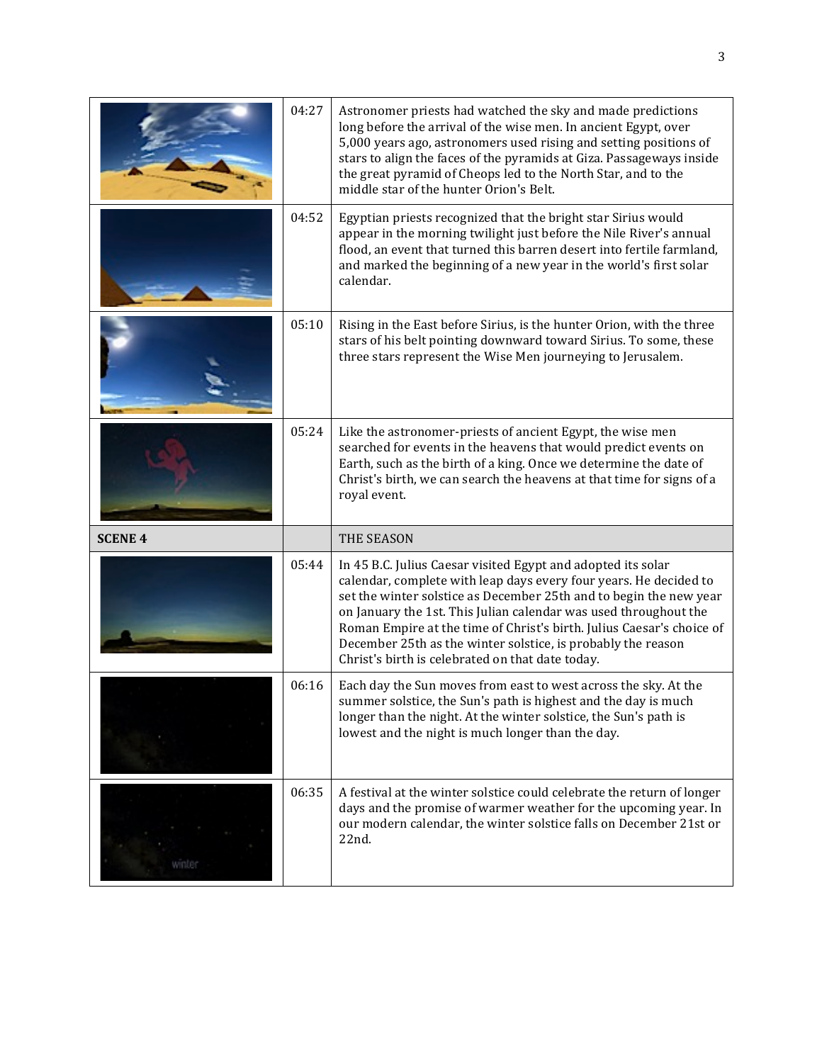|                | 04:27 | Astronomer priests had watched the sky and made predictions<br>long before the arrival of the wise men. In ancient Egypt, over<br>5,000 years ago, astronomers used rising and setting positions of<br>stars to align the faces of the pyramids at Giza. Passageways inside<br>the great pyramid of Cheops led to the North Star, and to the<br>middle star of the hunter Orion's Belt.                                                                                  |
|----------------|-------|--------------------------------------------------------------------------------------------------------------------------------------------------------------------------------------------------------------------------------------------------------------------------------------------------------------------------------------------------------------------------------------------------------------------------------------------------------------------------|
|                | 04:52 | Egyptian priests recognized that the bright star Sirius would<br>appear in the morning twilight just before the Nile River's annual<br>flood, an event that turned this barren desert into fertile farmland,<br>and marked the beginning of a new year in the world's first solar<br>calendar.                                                                                                                                                                           |
|                | 05:10 | Rising in the East before Sirius, is the hunter Orion, with the three<br>stars of his belt pointing downward toward Sirius. To some, these<br>three stars represent the Wise Men journeying to Jerusalem.                                                                                                                                                                                                                                                                |
|                | 05:24 | Like the astronomer-priests of ancient Egypt, the wise men<br>searched for events in the heavens that would predict events on<br>Earth, such as the birth of a king. Once we determine the date of<br>Christ's birth, we can search the heavens at that time for signs of a<br>royal event.                                                                                                                                                                              |
| <b>SCENE 4</b> |       | THE SEASON                                                                                                                                                                                                                                                                                                                                                                                                                                                               |
|                |       |                                                                                                                                                                                                                                                                                                                                                                                                                                                                          |
|                | 05:44 | In 45 B.C. Julius Caesar visited Egypt and adopted its solar<br>calendar, complete with leap days every four years. He decided to<br>set the winter solstice as December 25th and to begin the new year<br>on January the 1st. This Julian calendar was used throughout the<br>Roman Empire at the time of Christ's birth. Julius Caesar's choice of<br>December 25th as the winter solstice, is probably the reason<br>Christ's birth is celebrated on that date today. |
|                | 06:16 | Each day the Sun moves from east to west across the sky. At the<br>summer solstice, the Sun's path is highest and the day is much<br>longer than the night. At the winter solstice, the Sun's path is<br>lowest and the night is much longer than the day.                                                                                                                                                                                                               |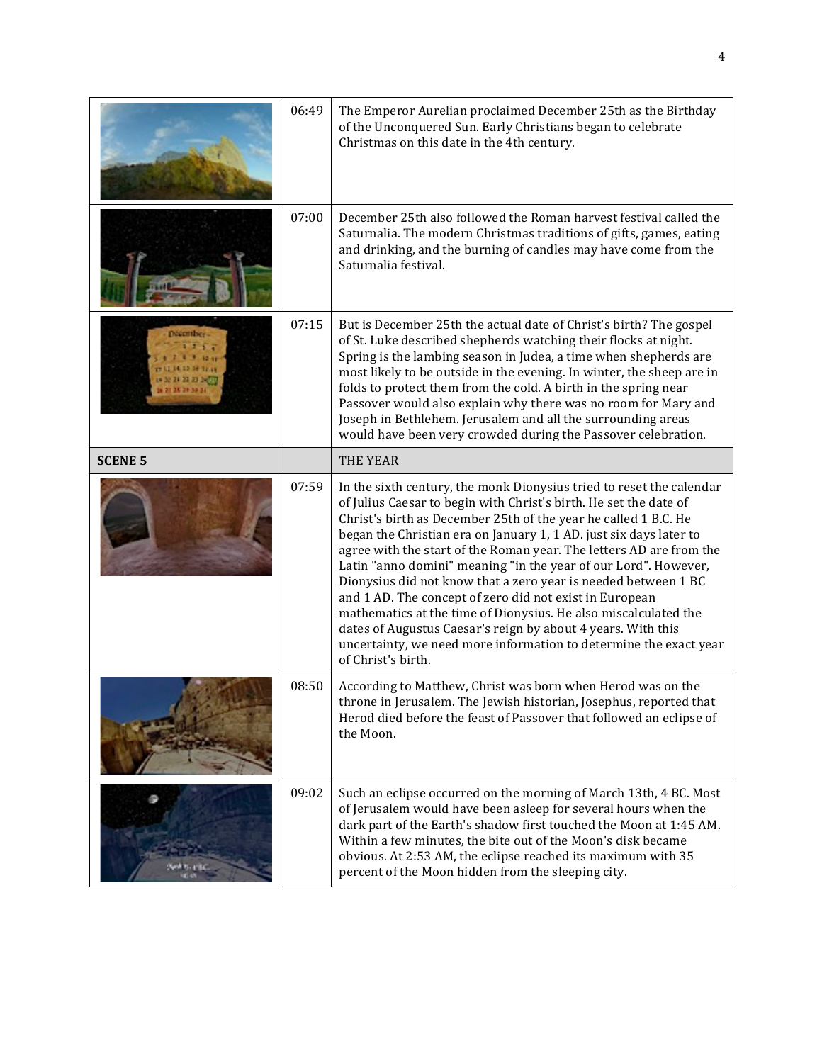|                | 06:49 | The Emperor Aurelian proclaimed December 25th as the Birthday<br>of the Unconquered Sun. Early Christians began to celebrate<br>Christmas on this date in the 4th century.                                                                                                                                                                                                                                                                                                                                                                                                                                                                                                                                                                                                              |
|----------------|-------|-----------------------------------------------------------------------------------------------------------------------------------------------------------------------------------------------------------------------------------------------------------------------------------------------------------------------------------------------------------------------------------------------------------------------------------------------------------------------------------------------------------------------------------------------------------------------------------------------------------------------------------------------------------------------------------------------------------------------------------------------------------------------------------------|
|                | 07:00 | December 25th also followed the Roman harvest festival called the<br>Saturnalia. The modern Christmas traditions of gifts, games, eating<br>and drinking, and the burning of candles may have come from the<br>Saturnalia festival.                                                                                                                                                                                                                                                                                                                                                                                                                                                                                                                                                     |
|                | 07:15 | But is December 25th the actual date of Christ's birth? The gospel<br>of St. Luke described shepherds watching their flocks at night.<br>Spring is the lambing season in Judea, a time when shepherds are<br>most likely to be outside in the evening. In winter, the sheep are in<br>folds to protect them from the cold. A birth in the spring near<br>Passover would also explain why there was no room for Mary and<br>Joseph in Bethlehem. Jerusalem and all the surrounding areas<br>would have been very crowded during the Passover celebration.                                                                                                                                                                                                                                |
| <b>SCENE 5</b> |       | <b>THE YEAR</b>                                                                                                                                                                                                                                                                                                                                                                                                                                                                                                                                                                                                                                                                                                                                                                         |
|                | 07:59 | In the sixth century, the monk Dionysius tried to reset the calendar<br>of Julius Caesar to begin with Christ's birth. He set the date of<br>Christ's birth as December 25th of the year he called 1 B.C. He<br>began the Christian era on January 1, 1 AD. just six days later to<br>agree with the start of the Roman year. The letters AD are from the<br>Latin "anno domini" meaning "in the year of our Lord". However,<br>Dionysius did not know that a zero year is needed between 1 BC<br>and 1 AD. The concept of zero did not exist in European<br>mathematics at the time of Dionysius. He also miscalculated the<br>dates of Augustus Caesar's reign by about 4 years. With this<br>uncertainty, we need more information to determine the exact year<br>of Christ's birth. |
|                | 08:50 | According to Matthew, Christ was born when Herod was on the<br>throne in Jerusalem. The Jewish historian, Josephus, reported that<br>Herod died before the feast of Passover that followed an eclipse of<br>the Moon.                                                                                                                                                                                                                                                                                                                                                                                                                                                                                                                                                                   |
|                | 09:02 | Such an eclipse occurred on the morning of March 13th, 4 BC. Most<br>of Jerusalem would have been asleep for several hours when the<br>dark part of the Earth's shadow first touched the Moon at 1:45 AM.<br>Within a few minutes, the bite out of the Moon's disk became<br>obvious. At 2:53 AM, the eclipse reached its maximum with 35<br>percent of the Moon hidden from the sleeping city.                                                                                                                                                                                                                                                                                                                                                                                         |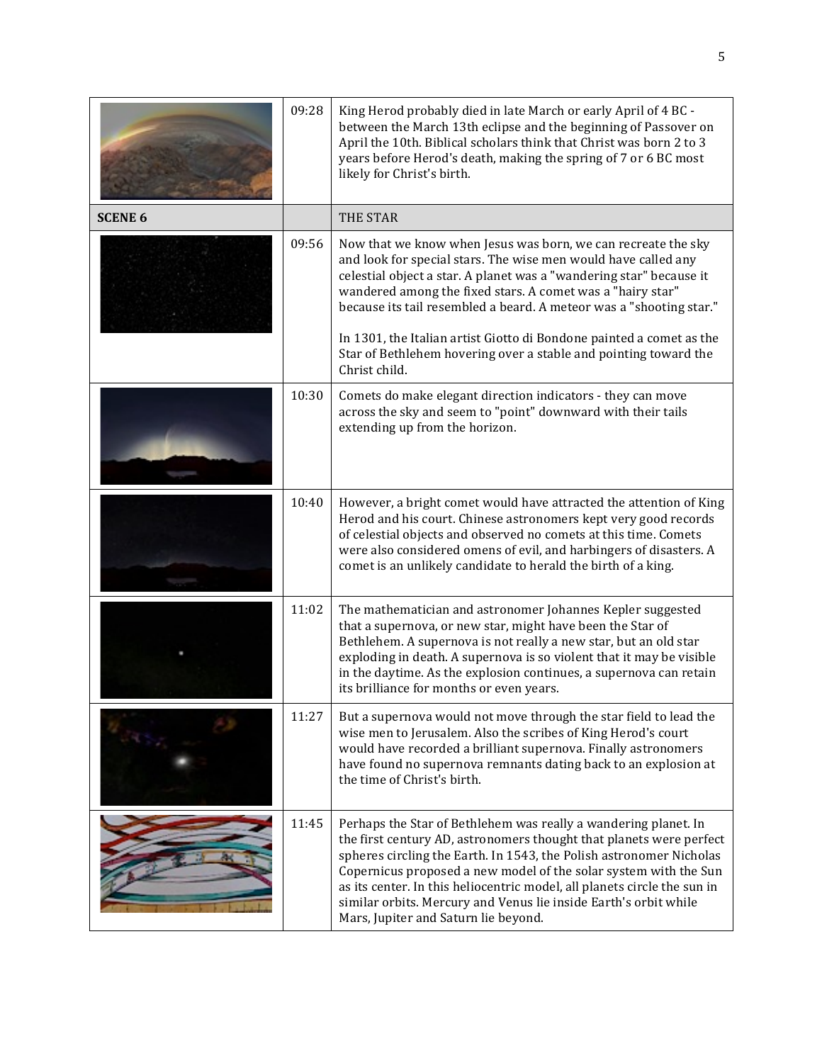|                | 09:28 | King Herod probably died in late March or early April of 4 BC -<br>between the March 13th eclipse and the beginning of Passover on<br>April the 10th. Biblical scholars think that Christ was born 2 to 3<br>years before Herod's death, making the spring of 7 or 6 BC most<br>likely for Christ's birth.                                                                                                                                                                                               |
|----------------|-------|----------------------------------------------------------------------------------------------------------------------------------------------------------------------------------------------------------------------------------------------------------------------------------------------------------------------------------------------------------------------------------------------------------------------------------------------------------------------------------------------------------|
| <b>SCENE 6</b> |       | THE STAR                                                                                                                                                                                                                                                                                                                                                                                                                                                                                                 |
|                | 09:56 | Now that we know when Jesus was born, we can recreate the sky<br>and look for special stars. The wise men would have called any<br>celestial object a star. A planet was a "wandering star" because it<br>wandered among the fixed stars. A comet was a "hairy star"<br>because its tail resembled a beard. A meteor was a "shooting star."<br>In 1301, the Italian artist Giotto di Bondone painted a comet as the<br>Star of Bethlehem hovering over a stable and pointing toward the<br>Christ child. |
|                | 10:30 | Comets do make elegant direction indicators - they can move<br>across the sky and seem to "point" downward with their tails<br>extending up from the horizon.                                                                                                                                                                                                                                                                                                                                            |
|                | 10:40 | However, a bright comet would have attracted the attention of King<br>Herod and his court. Chinese astronomers kept very good records<br>of celestial objects and observed no comets at this time. Comets<br>were also considered omens of evil, and harbingers of disasters. A<br>comet is an unlikely candidate to herald the birth of a king.                                                                                                                                                         |
|                | 11:02 | The mathematician and astronomer Johannes Kepler suggested<br>that a supernova, or new star, might have been the Star of<br>Bethlehem. A supernova is not really a new star, but an old star<br>exploding in death. A supernova is so violent that it may be visible<br>in the daytime. As the explosion continues, a supernova can retain<br>its brilliance for months or even years.                                                                                                                   |
|                | 11:27 | But a supernova would not move through the star field to lead the<br>wise men to Jerusalem. Also the scribes of King Herod's court<br>would have recorded a brilliant supernova. Finally astronomers<br>have found no supernova remnants dating back to an explosion at<br>the time of Christ's birth.                                                                                                                                                                                                   |
|                | 11:45 | Perhaps the Star of Bethlehem was really a wandering planet. In<br>the first century AD, astronomers thought that planets were perfect<br>spheres circling the Earth. In 1543, the Polish astronomer Nicholas<br>Copernicus proposed a new model of the solar system with the Sun<br>as its center. In this heliocentric model, all planets circle the sun in<br>similar orbits. Mercury and Venus lie inside Earth's orbit while<br>Mars, Jupiter and Saturn lie beyond.                                |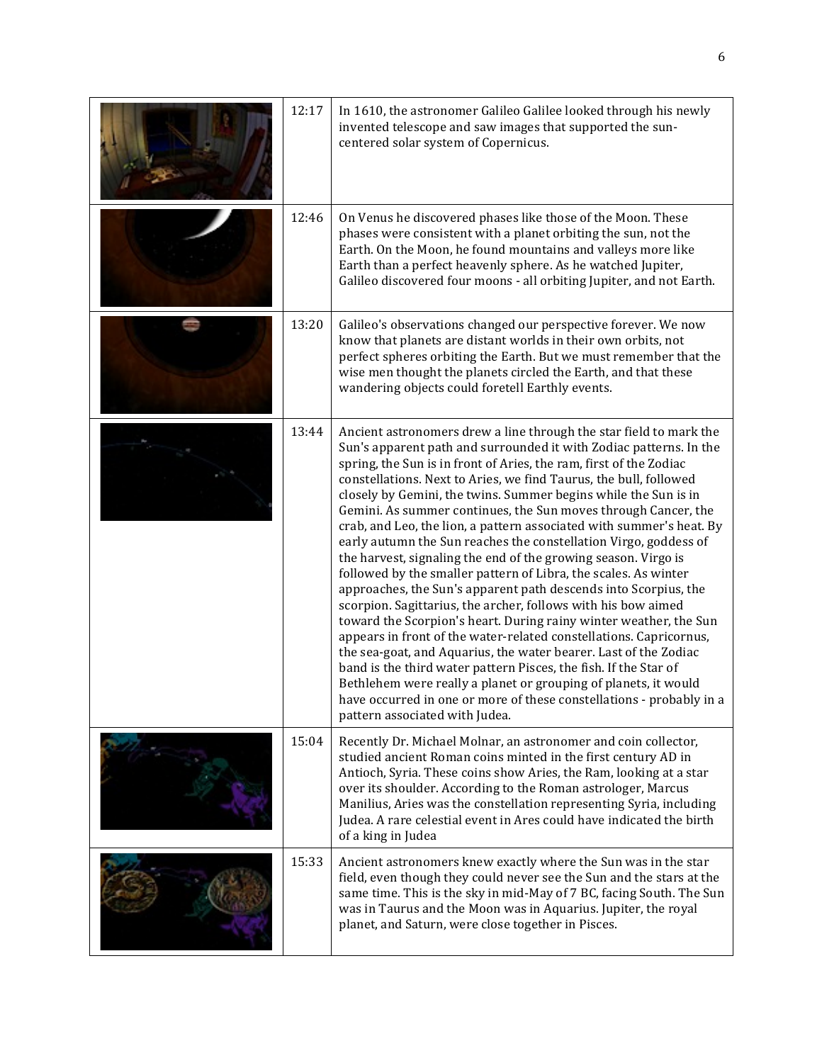| 12:17 | In 1610, the astronomer Galileo Galilee looked through his newly<br>invented telescope and saw images that supported the sun-<br>centered solar system of Copernicus.                                                                                                                                                                                                                                                                                                                                                                                                                                                                                                                                                                                                                                                                                                                                                                                                                                                                                                                                                                                                                                                                                                                                         |
|-------|---------------------------------------------------------------------------------------------------------------------------------------------------------------------------------------------------------------------------------------------------------------------------------------------------------------------------------------------------------------------------------------------------------------------------------------------------------------------------------------------------------------------------------------------------------------------------------------------------------------------------------------------------------------------------------------------------------------------------------------------------------------------------------------------------------------------------------------------------------------------------------------------------------------------------------------------------------------------------------------------------------------------------------------------------------------------------------------------------------------------------------------------------------------------------------------------------------------------------------------------------------------------------------------------------------------|
| 12:46 | On Venus he discovered phases like those of the Moon. These<br>phases were consistent with a planet orbiting the sun, not the<br>Earth. On the Moon, he found mountains and valleys more like<br>Earth than a perfect heavenly sphere. As he watched Jupiter,<br>Galileo discovered four moons - all orbiting Jupiter, and not Earth.                                                                                                                                                                                                                                                                                                                                                                                                                                                                                                                                                                                                                                                                                                                                                                                                                                                                                                                                                                         |
| 13:20 | Galileo's observations changed our perspective forever. We now<br>know that planets are distant worlds in their own orbits, not<br>perfect spheres orbiting the Earth. But we must remember that the<br>wise men thought the planets circled the Earth, and that these<br>wandering objects could foretell Earthly events.                                                                                                                                                                                                                                                                                                                                                                                                                                                                                                                                                                                                                                                                                                                                                                                                                                                                                                                                                                                    |
| 13:44 | Ancient astronomers drew a line through the star field to mark the<br>Sun's apparent path and surrounded it with Zodiac patterns. In the<br>spring, the Sun is in front of Aries, the ram, first of the Zodiac<br>constellations. Next to Aries, we find Taurus, the bull, followed<br>closely by Gemini, the twins. Summer begins while the Sun is in<br>Gemini. As summer continues, the Sun moves through Cancer, the<br>crab, and Leo, the lion, a pattern associated with summer's heat. By<br>early autumn the Sun reaches the constellation Virgo, goddess of<br>the harvest, signaling the end of the growing season. Virgo is<br>followed by the smaller pattern of Libra, the scales. As winter<br>approaches, the Sun's apparent path descends into Scorpius, the<br>scorpion. Sagittarius, the archer, follows with his bow aimed<br>toward the Scorpion's heart. During rainy winter weather, the Sun<br>appears in front of the water-related constellations. Capricornus,<br>the sea-goat, and Aquarius, the water bearer. Last of the Zodiac<br>band is the third water pattern Pisces, the fish. If the Star of<br>Bethlehem were really a planet or grouping of planets, it would<br>have occurred in one or more of these constellations - probably in a<br>pattern associated with Judea. |
| 15:04 | Recently Dr. Michael Molnar, an astronomer and coin collector,<br>studied ancient Roman coins minted in the first century AD in<br>Antioch, Syria. These coins show Aries, the Ram, looking at a star<br>over its shoulder. According to the Roman astrologer, Marcus<br>Manilius, Aries was the constellation representing Syria, including<br>Judea. A rare celestial event in Ares could have indicated the birth<br>of a king in Judea                                                                                                                                                                                                                                                                                                                                                                                                                                                                                                                                                                                                                                                                                                                                                                                                                                                                    |
| 15:33 | Ancient astronomers knew exactly where the Sun was in the star<br>field, even though they could never see the Sun and the stars at the<br>same time. This is the sky in mid-May of 7 BC, facing South. The Sun<br>was in Taurus and the Moon was in Aquarius. Jupiter, the royal<br>planet, and Saturn, were close together in Pisces.                                                                                                                                                                                                                                                                                                                                                                                                                                                                                                                                                                                                                                                                                                                                                                                                                                                                                                                                                                        |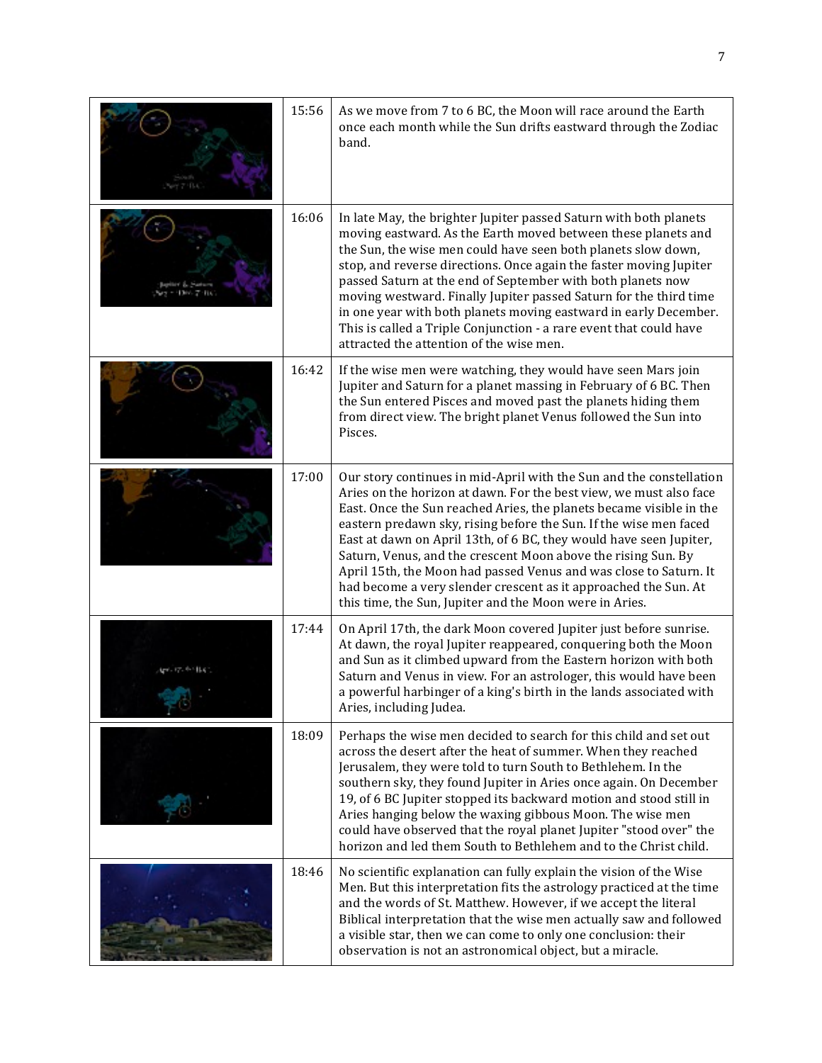| 15:56 | As we move from 7 to 6 BC, the Moon will race around the Earth<br>once each month while the Sun drifts eastward through the Zodiac<br>band.                                                                                                                                                                                                                                                                                                                                                                                                                                                                                     |
|-------|---------------------------------------------------------------------------------------------------------------------------------------------------------------------------------------------------------------------------------------------------------------------------------------------------------------------------------------------------------------------------------------------------------------------------------------------------------------------------------------------------------------------------------------------------------------------------------------------------------------------------------|
| 16:06 | In late May, the brighter Jupiter passed Saturn with both planets<br>moving eastward. As the Earth moved between these planets and<br>the Sun, the wise men could have seen both planets slow down,<br>stop, and reverse directions. Once again the faster moving Jupiter<br>passed Saturn at the end of September with both planets now<br>moving westward. Finally Jupiter passed Saturn for the third time<br>in one year with both planets moving eastward in early December.<br>This is called a Triple Conjunction - a rare event that could have<br>attracted the attention of the wise men.                             |
| 16:42 | If the wise men were watching, they would have seen Mars join<br>Jupiter and Saturn for a planet massing in February of 6 BC. Then<br>the Sun entered Pisces and moved past the planets hiding them<br>from direct view. The bright planet Venus followed the Sun into<br>Pisces.                                                                                                                                                                                                                                                                                                                                               |
| 17:00 | Our story continues in mid-April with the Sun and the constellation<br>Aries on the horizon at dawn. For the best view, we must also face<br>East. Once the Sun reached Aries, the planets became visible in the<br>eastern predawn sky, rising before the Sun. If the wise men faced<br>East at dawn on April 13th, of 6 BC, they would have seen Jupiter,<br>Saturn, Venus, and the crescent Moon above the rising Sun. By<br>April 15th, the Moon had passed Venus and was close to Saturn. It<br>had become a very slender crescent as it approached the Sun. At<br>this time, the Sun, Jupiter and the Moon were in Aries. |
| 17:44 | On April 17th, the dark Moon covered Jupiter just before sunrise.<br>At dawn, the royal Jupiter reappeared, conquering both the Moon<br>and Sun as it climbed upward from the Eastern horizon with both<br>Saturn and Venus in view. For an astrologer, this would have been<br>a powerful harbinger of a king's birth in the lands associated with<br>Aries, including Judea.                                                                                                                                                                                                                                                  |
| 18:09 | Perhaps the wise men decided to search for this child and set out<br>across the desert after the heat of summer. When they reached<br>Jerusalem, they were told to turn South to Bethlehem. In the<br>southern sky, they found Jupiter in Aries once again. On December<br>19, of 6 BC Jupiter stopped its backward motion and stood still in<br>Aries hanging below the waxing gibbous Moon. The wise men<br>could have observed that the royal planet Jupiter "stood over" the<br>horizon and led them South to Bethlehem and to the Christ child.                                                                            |
| 18:46 | No scientific explanation can fully explain the vision of the Wise<br>Men. But this interpretation fits the astrology practiced at the time<br>and the words of St. Matthew. However, if we accept the literal<br>Biblical interpretation that the wise men actually saw and followed<br>a visible star, then we can come to only one conclusion: their<br>observation is not an astronomical object, but a miracle.                                                                                                                                                                                                            |